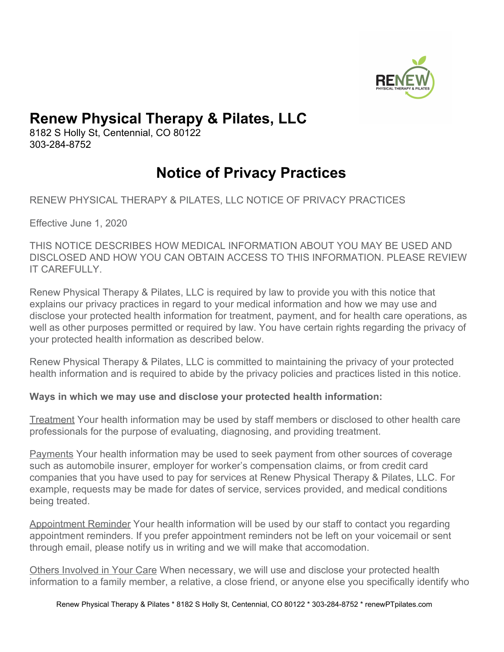

# **Renew Physical Therapy & Pilates, LLC**

8182 S Holly St, Centennial, CO 80122 303-284-8752

# **Notice of Privacy Practices**

RENEW PHYSICAL THERAPY & PILATES, LLC NOTICE OF PRIVACY PRACTICES

Effective June 1, 2020

THIS NOTICE DESCRIBES HOW MEDICAL INFORMATION ABOUT YOU MAY BE USED AND DISCLOSED AND HOW YOU CAN OBTAIN ACCESS TO THIS INFORMATION. PLEASE REVIEW IT CAREFULLY.

Renew Physical Therapy & Pilates, LLC is required by law to provide you with this notice that explains our privacy practices in regard to your medical information and how we may use and disclose your protected health information for treatment, payment, and for health care operations, as well as other purposes permitted or required by law. You have certain rights regarding the privacy of your protected health information as described below.

Renew Physical Therapy & Pilates, LLC is committed to maintaining the privacy of your protected health information and is required to abide by the privacy policies and practices listed in this notice.

## **Ways in which we may use and disclose your protected health information:**

Treatment Your health information may be used by staff members or disclosed to other health care professionals for the purpose of evaluating, diagnosing, and providing treatment.

Payments Your health information may be used to seek payment from other sources of coverage such as automobile insurer, employer for worker's compensation claims, or from credit card companies that you have used to pay for services at Renew Physical Therapy & Pilates, LLC. For example, requests may be made for dates of service, services provided, and medical conditions being treated.

Appointment Reminder Your health information will be used by our staff to contact you regarding appointment reminders. If you prefer appointment reminders not be left on your voicemail or sent through email, please notify us in writing and we will make that accomodation.

Others Involved in Your Care When necessary, we will use and disclose your protected health information to a family member, a relative, a close friend, or anyone else you specifically identify who